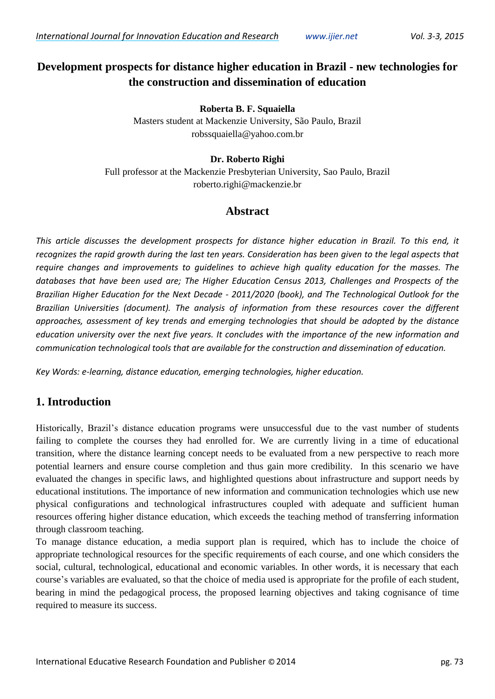# **Development prospects for distance higher education in Brazil - new technologies for the construction and dissemination of education**

**Roberta B. F. Squaiella**

Masters student at Mackenzie University, São Paulo, Brazil robssquaiella@yahoo.com.br

#### **Dr. Roberto Righi**

Full professor at the Mackenzie Presbyterian University, Sao Paulo, Brazil roberto.righi@mackenzie.br

### **Abstract**

*This article discusses the development prospects for distance higher education in Brazil. To this end, it recognizes the rapid growth during the last ten years. Consideration has been given to the legal aspects that require changes and improvements to guidelines to achieve high quality education for the masses. The databases that have been used are; The Higher Education Census 2013, Challenges and Prospects of the Brazilian Higher Education for the Next Decade - 2011/2020 (book), and The Technological Outlook for the Brazilian Universities (document). The analysis of information from these resources cover the different approaches, assessment of key trends and emerging technologies that should be adopted by the distance education university over the next five years. It concludes with the importance of the new information and communication technological tools that are available for the construction and dissemination of education.*

*Key Words: e-learning, distance education, emerging technologies, higher education.*

## **1. Introduction**

Historically, Brazil's distance education programs were unsuccessful due to the vast number of students failing to complete the courses they had enrolled for. We are currently living in a time of educational transition, where the distance learning concept needs to be evaluated from a new perspective to reach more potential learners and ensure course completion and thus gain more credibility. In this scenario we have evaluated the changes in specific laws, and highlighted questions about infrastructure and support needs by educational institutions. The importance of new information and communication technologies which use new physical configurations and technological infrastructures coupled with adequate and sufficient human resources offering higher distance education, which exceeds the teaching method of transferring information through classroom teaching.

To manage distance education, a media support plan is required, which has to include the choice of appropriate technological resources for the specific requirements of each course, and one which considers the social, cultural, technological, educational and economic variables. In other words, it is necessary that each course's variables are evaluated, so that the choice of media used is appropriate for the profile of each student, bearing in mind the pedagogical process, the proposed learning objectives and taking cognisance of time required to measure its success.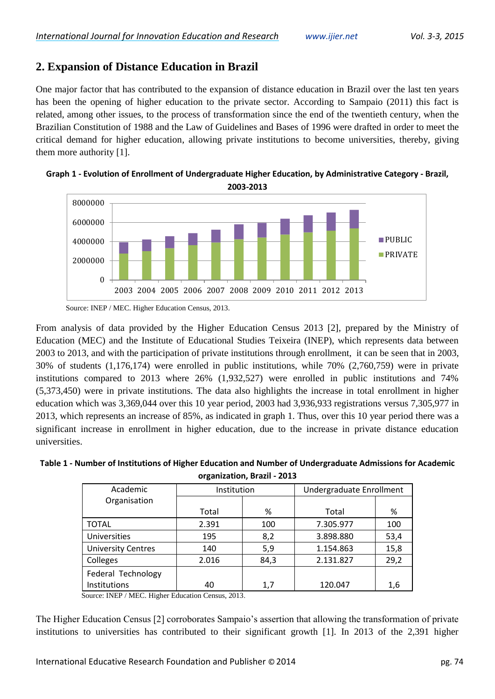# **2. Expansion of Distance Education in Brazil**

One major factor that has contributed to the expansion of distance education in Brazil over the last ten years has been the opening of higher education to the private sector. According to Sampaio (2011) this fact is related, among other issues, to the process of transformation since the end of the twentieth century, when the Brazilian Constitution of 1988 and the Law of Guidelines and Bases of 1996 were drafted in order to meet the critical demand for higher education, allowing private institutions to become universities, thereby, giving them more authority [1].





From analysis of data provided by the Higher Education Census 2013 [2], prepared by the Ministry of Education (MEC) and the Institute of Educational Studies Teixeira (INEP), which represents data between 2003 to 2013, and with the participation of private institutions through enrollment, it can be seen that in 2003, 30% of students (1,176,174) were enrolled in public institutions, while 70% (2,760,759) were in private institutions compared to 2013 where 26% (1,932,527) were enrolled in public institutions and 74% (5,373,450) were in private institutions. The data also highlights the increase in total enrollment in higher education which was 3,369,044 over this 10 year period, 2003 had 3,936,933 registrations versus 7,305,977 in 2013, which represents an increase of 85%, as indicated in graph 1. Thus, over this 10 year period there was a significant increase in enrollment in higher education, due to the increase in private distance education universities.

| Table 1 - Number of Institutions of Higher Education and Number of Undergraduate Admissions for Academic |
|----------------------------------------------------------------------------------------------------------|
| organization, Brazil - 2013                                                                              |

| Academic                  | Institution |      | Undergraduate Enrollment |      |
|---------------------------|-------------|------|--------------------------|------|
| Organisation              |             |      |                          |      |
|                           | Total       | %    | Total                    | %    |
| <b>TOTAL</b>              | 2.391       | 100  | 7.305.977                | 100  |
| Universities              | 195         | 8,2  | 3.898.880                | 53,4 |
| <b>University Centres</b> | 140         | 5,9  | 1.154.863                | 15,8 |
| Colleges                  | 2.016       | 84,3 | 2.131.827                | 29,2 |
| Federal Technology        |             |      |                          |      |
| Institutions              | 40          | 1,7  | 120.047                  | 1,6  |

Source: INEP / MEC. Higher Education Census, 2013.

The Higher Education Census [2] corroborates Sampaio's assertion that allowing the transformation of private institutions to universities has contributed to their significant growth [1]. In 2013 of the 2,391 higher

Source: INEP / MEC. Higher Education Census, 2013.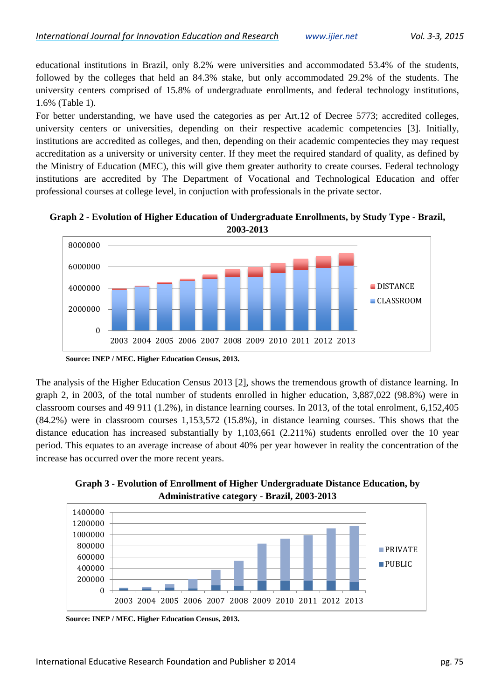educational institutions in Brazil, only 8.2% were universities and accommodated 53.4% of the students, followed by the colleges that held an 84.3% stake, but only accommodated 29.2% of the students. The university centers comprised of 15.8% of undergraduate enrollments, and federal technology institutions, 1.6% (Table 1).

For better understanding, we have used the categories as per Art.12 of Decree 5773; accredited colleges, university centers or universities, depending on their respective academic competencies [3]. Initially, institutions are accredited as colleges, and then, depending on their academic compentecies they may request accreditation as a university or university center. If they meet the required standard of quality, as defined by the Ministry of Education (MEC), this will give them greater authority to create courses. Federal technology institutions are accredited by The Department of Vocational and Technological Education and offer professional courses at college level, in conjuction with professionals in the private sector.



**Graph 2 - Evolution of Higher Education of Undergraduate Enrollments, by Study Type - Brazil, 2003-2013**

**Source: INEP / MEC. Higher Education Census, 2013.**

The analysis of the Higher Education Census 2013 [2], shows the tremendous growth of distance learning. In graph 2, in 2003, of the total number of students enrolled in higher education, 3,887,022 (98.8%) were in classroom courses and 49 911 (1.2%), in distance learning courses. In 2013, of the total enrolment, 6,152,405 (84.2%) were in classroom courses 1,153,572 (15.8%), in distance learning courses. This shows that the distance education has increased substantially by 1,103,661 (2.211%) students enrolled over the 10 year period. This equates to an average increase of about 40% per year however in reality the concentration of the increase has occurred over the more recent years.





**Source: INEP / MEC. Higher Education Census, 2013.**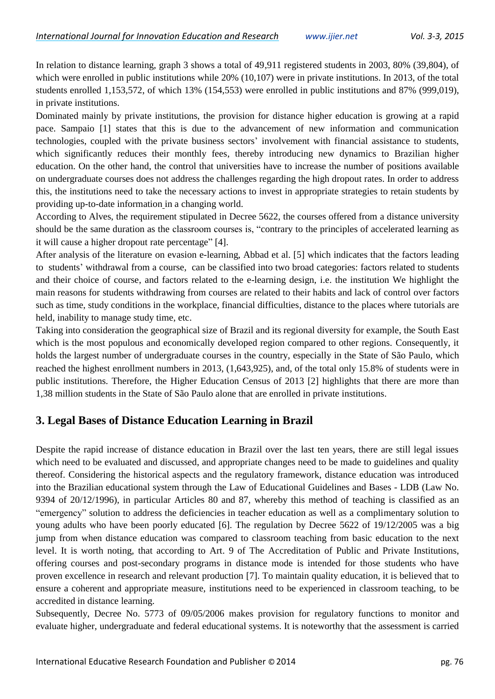In relation to distance learning, graph 3 shows a total of 49,911 registered students in 2003, 80% (39,804), of which were enrolled in public institutions while 20% (10,107) were in private institutions. In 2013, of the total students enrolled 1,153,572, of which 13% (154,553) were enrolled in public institutions and 87% (999,019), in private institutions.

Dominated mainly by private institutions, the provision for distance higher education is growing at a rapid pace. Sampaio [1] states that this is due to the advancement of new information and communication technologies, coupled with the private business sectors' involvement with financial assistance to students, which significantly reduces their monthly fees, thereby introducing new dynamics to Brazilian higher education. On the other hand, the control that universities have to increase the number of positions available on undergraduate courses does not address the challenges regarding the high dropout rates. In order to address this, the institutions need to take the necessary actions to invest in appropriate strategies to retain students by providing up-to-date information in a changing world.

According to Alves, the requirement stipulated in Decree 5622, the courses offered from a distance university should be the same duration as the classroom courses is, "contrary to the principles of accelerated learning as it will cause a higher dropout rate percentage" [4].

After analysis of the literature on evasion e-learning, Abbad et al. [5] which indicates that the factors leading to students' withdrawal from a course, can be classified into two broad categories: factors related to students and their choice of course, and factors related to the e-learning design, i.e. the institution We highlight the main reasons for students withdrawing from courses are related to their habits and lack of control over factors such as time, study conditions in the workplace, financial difficulties, distance to the places where tutorials are held, inability to manage study time, etc.

Taking into consideration the geographical size of Brazil and its regional diversity for example, the South East which is the most populous and economically developed region compared to other regions. Consequently, it holds the largest number of undergraduate courses in the country, especially in the State of São Paulo, which reached the highest enrollment numbers in 2013, (1,643,925), and, of the total only 15.8% of students were in public institutions. Therefore, the Higher Education Census of 2013 [2] highlights that there are more than 1,38 million students in the State of São Paulo alone that are enrolled in private institutions.

# **3. Legal Bases of Distance Education Learning in Brazil**

Despite the rapid increase of distance education in Brazil over the last ten years, there are still legal issues which need to be evaluated and discussed, and appropriate changes need to be made to guidelines and quality thereof. Considering the historical aspects and the regulatory framework, distance education was introduced into the Brazilian educational system through the Law of Educational Guidelines and Bases - LDB (Law No. 9394 of 20/12/1996), in particular Articles 80 and 87, whereby this method of teaching is classified as an "emergency" solution to address the deficiencies in teacher education as well as a complimentary solution to young adults who have been poorly educated [6]. The regulation by Decree 5622 of 19/12/2005 was a big jump from when distance education was compared to classroom teaching from basic education to the next level. It is worth noting, that according to Art. 9 of The Accreditation of Public and Private Institutions, offering courses and post-secondary programs in distance mode is intended for those students who have proven excellence in research and relevant production [7]. To maintain quality education, it is believed that to ensure a coherent and appropriate measure, institutions need to be experienced in classroom teaching, to be accredited in distance learning.

Subsequently, Decree No. 5773 of 09/05/2006 makes provision for regulatory functions to monitor and evaluate higher, undergraduate and federal educational systems. It is noteworthy that the assessment is carried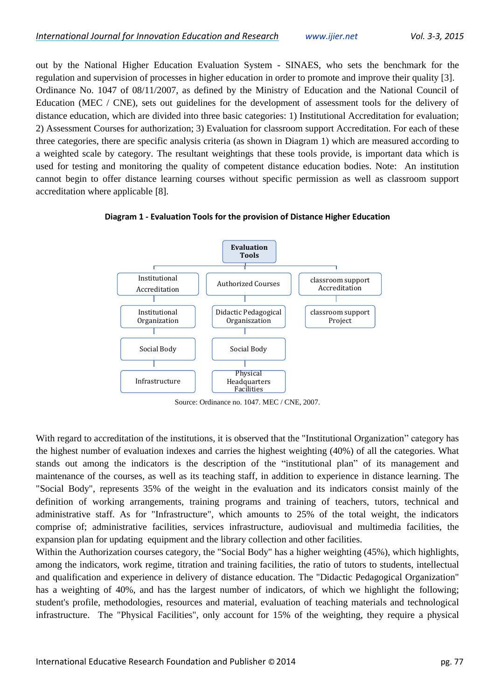out by the National Higher Education Evaluation System - SINAES, who sets the benchmark for the regulation and supervision of processes in higher education in order to promote and improve their quality [3]. Ordinance No. 1047 of 08/11/2007, as defined by the Ministry of Education and the National Council of Education (MEC / CNE), sets out guidelines for the development of assessment tools for the delivery of distance education, which are divided into three basic categories: 1) Institutional Accreditation for evaluation; 2) Assessment Courses for authorization; 3) Evaluation for classroom support Accreditation. For each of these three categories, there are specific analysis criteria (as shown in Diagram 1) which are measured according to a weighted scale by category. The resultant weightings that these tools provide, is important data which is used for testing and monitoring the quality of competent distance education bodies. Note: An institution cannot begin to offer distance learning courses without specific permission as well as classroom support accreditation where applicable [8].





Source: Ordinance no. 1047. MEC / CNE, 2007.

With regard to accreditation of the institutions, it is observed that the "Institutional Organization" category has the highest number of evaluation indexes and carries the highest weighting (40%) of all the categories. What stands out among the indicators is the description of the "institutional plan" of its management and maintenance of the courses, as well as its teaching staff, in addition to experience in distance learning. The "Social Body", represents 35% of the weight in the evaluation and its indicators consist mainly of the definition of working arrangements, training programs and training of teachers, tutors, technical and administrative staff. As for "Infrastructure", which amounts to 25% of the total weight, the indicators comprise of; administrative facilities, services infrastructure, audiovisual and multimedia facilities, the expansion plan for updating equipment and the library collection and other facilities.

Within the Authorization courses category, the "Social Body" has a higher weighting (45%), which highlights, among the indicators, work regime, titration and training facilities, the ratio of tutors to students, intellectual and qualification and experience in delivery of distance education. The "Didactic Pedagogical Organization" has a weighting of 40%, and has the largest number of indicators, of which we highlight the following; student's profile, methodologies, resources and material, evaluation of teaching materials and technological infrastructure. The "Physical Facilities", only account for 15% of the weighting, they require a physical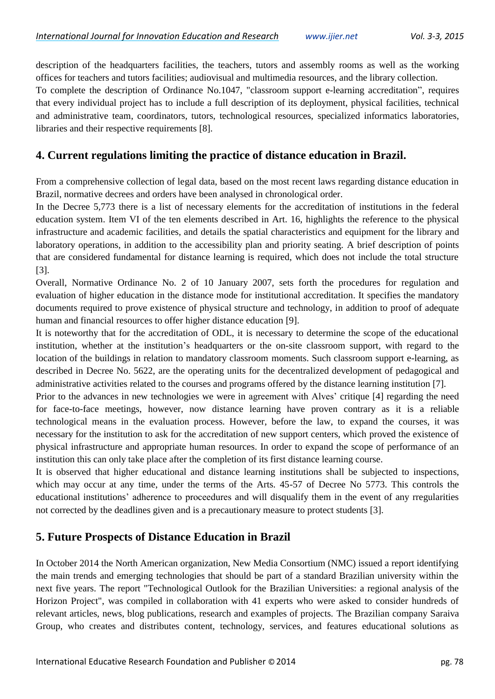description of the headquarters facilities, the teachers, tutors and assembly rooms as well as the working offices for teachers and tutors facilities; audiovisual and multimedia resources, and the library collection.

To complete the description of Ordinance No.1047, "classroom support e-learning accreditation", requires that every individual project has to include a full description of its deployment, physical facilities, technical and administrative team, coordinators, tutors, technological resources, specialized informatics laboratories, libraries and their respective requirements [8].

### **4. Current regulations limiting the practice of distance education in Brazil.**

From a comprehensive collection of legal data, based on the most recent laws regarding distance education in Brazil, normative decrees and orders have been analysed in chronological order.

In the Decree 5,773 there is a list of necessary elements for the accreditation of institutions in the federal education system. Item VI of the ten elements described in Art. 16, highlights the reference to the physical infrastructure and academic facilities, and details the spatial characteristics and equipment for the library and laboratory operations, in addition to the accessibility plan and priority seating. A brief description of points that are considered fundamental for distance learning is required, which does not include the total structure [3].

Overall, Normative Ordinance No. 2 of 10 January 2007, sets forth the procedures for regulation and evaluation of higher education in the distance mode for institutional accreditation. It specifies the mandatory documents required to prove existence of physical structure and technology, in addition to proof of adequate human and financial resources to offer higher distance education [9].

It is noteworthy that for the accreditation of ODL, it is necessary to determine the scope of the educational institution, whether at the institution's headquarters or the on-site classroom support, with regard to the location of the buildings in relation to mandatory classroom moments. Such classroom support e-learning, as described in Decree No. 5622, are the operating units for the decentralized development of pedagogical and administrative activities related to the courses and programs offered by the distance learning institution [7].

Prior to the advances in new technologies we were in agreement with Alves' critique [4] regarding the need for face-to-face meetings, however, now distance learning have proven contrary as it is a reliable technological means in the evaluation process. However, before the law, to expand the courses, it was necessary for the institution to ask for the accreditation of new support centers, which proved the existence of physical infrastructure and appropriate human resources. In order to expand the scope of performance of an institution this can only take place after the completion of its first distance learning course.

It is observed that higher educational and distance learning institutions shall be subjected to inspections, which may occur at any time, under the terms of the Arts. 45-57 of Decree No 5773. This controls the educational institutions' adherence to proceedures and will disqualify them in the event of any rregularities not corrected by the deadlines given and is a precautionary measure to protect students [3].

## **5. Future Prospects of Distance Education in Brazil**

In October 2014 the North American organization, New Media Consortium (NMC) issued a report identifying the main trends and emerging technologies that should be part of a standard Brazilian university within the next five years. The report "Technological Outlook for the Brazilian Universities: a regional analysis of the Horizon Project", was compiled in collaboration with 41 experts who were asked to consider hundreds of relevant articles, news, blog publications, research and examples of projects. The Brazilian company Saraiva Group, who creates and distributes content, technology, services, and features educational solutions as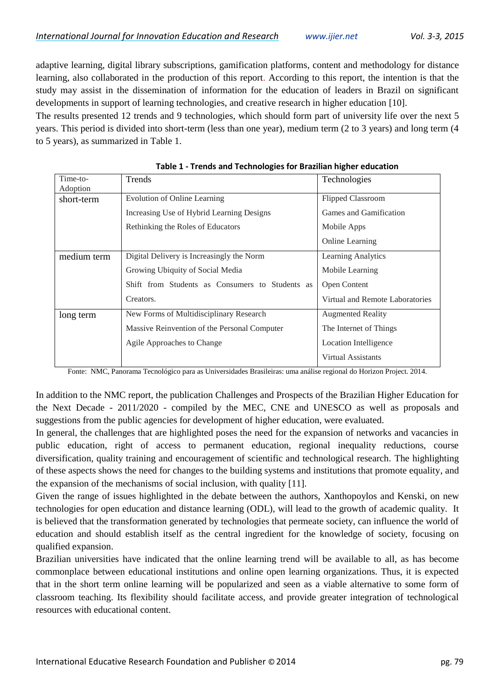adaptive learning, digital library subscriptions, gamification platforms, content and methodology for distance learning, also collaborated in the production of this report. According to this report, the intention is that the study may assist in the dissemination of information for the education of leaders in Brazil on significant developments in support of learning technologies, and creative research in higher education [10].

The results presented 12 trends and 9 technologies, which should form part of university life over the next 5 years. This period is divided into short-term (less than one year), medium term (2 to 3 years) and long term (4 to 5 years), as summarized in Table 1.

| Time-to-    | Trends                                          | Technologies                    |  |  |
|-------------|-------------------------------------------------|---------------------------------|--|--|
| Adoption    |                                                 |                                 |  |  |
| short-term  | <b>Evolution of Online Learning</b>             | <b>Flipped Classroom</b>        |  |  |
|             | Increasing Use of Hybrid Learning Designs       | Games and Gamification          |  |  |
|             | Rethinking the Roles of Educators               | Mobile Apps                     |  |  |
|             |                                                 | <b>Online Learning</b>          |  |  |
| medium term | Digital Delivery is Increasingly the Norm       | <b>Learning Analytics</b>       |  |  |
|             | Growing Ubiquity of Social Media                | Mobile Learning                 |  |  |
|             | Shift from Students as Consumers to Students as | Open Content                    |  |  |
|             | Creators.                                       | Virtual and Remote Laboratories |  |  |
| long term   | New Forms of Multidisciplinary Research         | <b>Augmented Reality</b>        |  |  |
|             | Massive Reinvention of the Personal Computer    | The Internet of Things          |  |  |
|             | Agile Approaches to Change                      | Location Intelligence           |  |  |
|             |                                                 | <b>Virtual Assistants</b>       |  |  |

**Table 1 - Trends and Technologies for Brazilian higher education**

Fonte: NMC, Panorama Tecnológico para as Universidades Brasileiras: uma análise regional do Horizon Project. 2014.

In addition to the NMC report, the publication Challenges and Prospects of the Brazilian Higher Education for the Next Decade - 2011/2020 - compiled by the MEC, CNE and UNESCO as well as proposals and suggestions from the public agencies for development of higher education, were evaluated.

In general, the challenges that are highlighted poses the need for the expansion of networks and vacancies in public education, right of access to permanent education, regional inequality reductions, course diversification, quality training and encouragement of scientific and technological research. The highlighting of these aspects shows the need for changes to the building systems and institutions that promote equality, and the expansion of the mechanisms of social inclusion, with quality [11].

Given the range of issues highlighted in the debate between the authors, Xanthopoylos and Kenski, on new technologies for open education and distance learning (ODL), will lead to the growth of academic quality. It is believed that the transformation generated by technologies that permeate society, can influence the world of education and should establish itself as the central ingredient for the knowledge of society, focusing on qualified expansion.

Brazilian universities have indicated that the online learning trend will be available to all, as has become commonplace between educational institutions and online open learning organizations. Thus, it is expected that in the short term online learning will be popularized and seen as a viable alternative to some form of classroom teaching. Its flexibility should facilitate access, and provide greater integration of technological resources with educational content.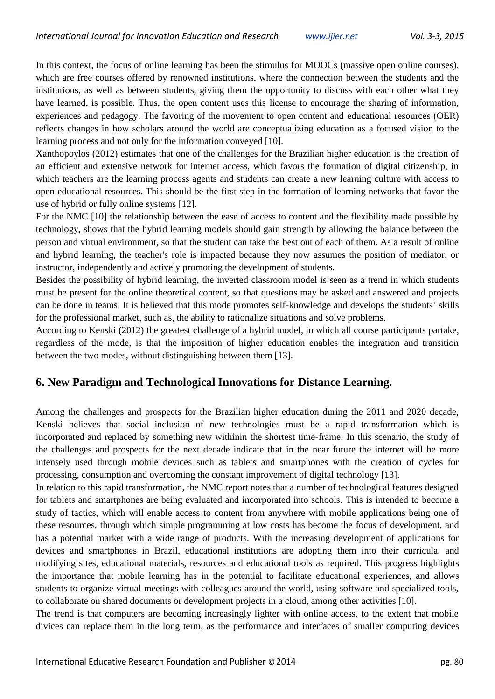In this context, the focus of online learning has been the stimulus for MOOCs (massive open online courses), which are free courses offered by renowned institutions, where the connection between the students and the institutions, as well as between students, giving them the opportunity to discuss with each other what they have learned, is possible. Thus, the open content uses this license to encourage the sharing of information, experiences and pedagogy. The favoring of the movement to open content and educational resources (OER) reflects changes in how scholars around the world are conceptualizing education as a focused vision to the learning process and not only for the information conveyed [10].

Xanthopoylos (2012) estimates that one of the challenges for the Brazilian higher education is the creation of an efficient and extensive network for internet access, which favors the formation of digital citizenship, in which teachers are the learning process agents and students can create a new learning culture with access to open educational resources. This should be the first step in the formation of learning networks that favor the use of hybrid or fully online systems [12].

For the NMC [10] the relationship between the ease of access to content and the flexibility made possible by technology, shows that the hybrid learning models should gain strength by allowing the balance between the person and virtual environment, so that the student can take the best out of each of them. As a result of online and hybrid learning, the teacher's role is impacted because they now assumes the position of mediator, or instructor, independently and actively promoting the development of students.

Besides the possibility of hybrid learning, the inverted classroom model is seen as a trend in which students must be present for the online theoretical content, so that questions may be asked and answered and projects can be done in teams. It is believed that this mode promotes self-knowledge and develops the students' skills for the professional market, such as, the ability to rationalize situations and solve problems.

According to Kenski (2012) the greatest challenge of a hybrid model, in which all course participants partake, regardless of the mode, is that the imposition of higher education enables the integration and transition between the two modes, without distinguishing between them [13].

#### **6. New Paradigm and Technological Innovations for Distance Learning.**

Among the challenges and prospects for the Brazilian higher education during the 2011 and 2020 decade, Kenski believes that social inclusion of new technologies must be a rapid transformation which is incorporated and replaced by something new withinin the shortest time-frame. In this scenario, the study of the challenges and prospects for the next decade indicate that in the near future the internet will be more intensely used through mobile devices such as tablets and smartphones with the creation of cycles for processing, consumption and overcoming the constant improvement of digital technology [13].

In relation to this rapid transformation, the NMC report notes that a number of technological features designed for tablets and smartphones are being evaluated and incorporated into schools. This is intended to become a study of tactics, which will enable access to content from anywhere with mobile applications being one of these resources, through which simple programming at low costs has become the focus of development, and has a potential market with a wide range of products. With the increasing development of applications for devices and smartphones in Brazil, educational institutions are adopting them into their curricula, and modifying sites, educational materials, resources and educational tools as required. This progress highlights the importance that mobile learning has in the potential to facilitate educational experiences, and allows students to organize virtual meetings with colleagues around the world, using software and specialized tools, to collaborate on shared documents or development projects in a cloud, among other activities [10].

The trend is that computers are becoming increasingly lighter with online access, to the extent that mobile divices can replace them in the long term, as the performance and interfaces of smaller computing devices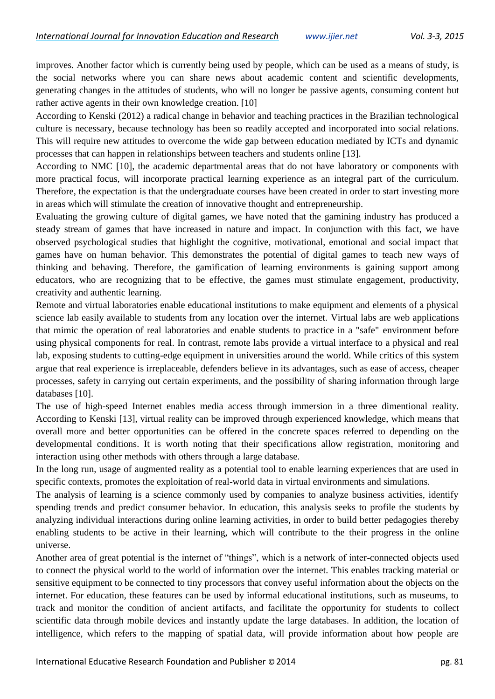improves. Another factor which is currently being used by people, which can be used as a means of study, is the social networks where you can share news about academic content and scientific developments, generating changes in the attitudes of students, who will no longer be passive agents, consuming content but rather active agents in their own knowledge creation. [10]

According to Kenski (2012) a radical change in behavior and teaching practices in the Brazilian technological culture is necessary, because technology has been so readily accepted and incorporated into social relations. This will require new attitudes to overcome the wide gap between education mediated by ICTs and dynamic processes that can happen in relationships between teachers and students online [13].

According to NMC [10], the academic departmental areas that do not have laboratory or components with more practical focus, will incorporate practical learning experience as an integral part of the curriculum. Therefore, the expectation is that the undergraduate courses have been created in order to start investing more in areas which will stimulate the creation of innovative thought and entrepreneurship.

Evaluating the growing culture of digital games, we have noted that the gamining industry has produced a steady stream of games that have increased in nature and impact. In conjunction with this fact, we have observed psychological studies that highlight the cognitive, motivational, emotional and social impact that games have on human behavior. This demonstrates the potential of digital games to teach new ways of thinking and behaving. Therefore, the gamification of learning environments is gaining support among educators, who are recognizing that to be effective, the games must stimulate engagement, productivity, creativity and authentic learning.

Remote and virtual laboratories enable educational institutions to make equipment and elements of a physical science lab easily available to students from any location over the internet. Virtual labs are web applications that mimic the operation of real laboratories and enable students to practice in a "safe" environment before using physical components for real. In contrast, remote labs provide a virtual interface to a physical and real lab, exposing students to cutting-edge equipment in universities around the world. While critics of this system argue that real experience is irreplaceable, defenders believe in its advantages, such as ease of access, cheaper processes, safety in carrying out certain experiments, and the possibility of sharing information through large databases [10].

The use of high-speed Internet enables media access through immersion in a three dimentional reality. According to Kenski [13], virtual reality can be improved through experienced knowledge, which means that overall more and better opportunities can be offered in the concrete spaces referred to depending on the developmental conditions. It is worth noting that their specifications allow registration, monitoring and interaction using other methods with others through a large database.

In the long run, usage of augmented reality as a potential tool to enable learning experiences that are used in specific contexts, promotes the exploitation of real-world data in virtual environments and simulations.

The analysis of learning is a science commonly used by companies to analyze business activities, identify spending trends and predict consumer behavior. In education, this analysis seeks to profile the students by analyzing individual interactions during online learning activities, in order to build better pedagogies thereby enabling students to be active in their learning, which will contribute to the their progress in the online universe.

Another area of great potential is the internet of "things", which is a network of inter-connected objects used to connect the physical world to the world of information over the internet. This enables tracking material or sensitive equipment to be connected to tiny processors that convey useful information about the objects on the internet. For education, these features can be used by informal educational institutions, such as museums, to track and monitor the condition of ancient artifacts, and facilitate the opportunity for students to collect scientific data through mobile devices and instantly update the large databases. In addition, the location of intelligence, which refers to the mapping of spatial data, will provide information about how people are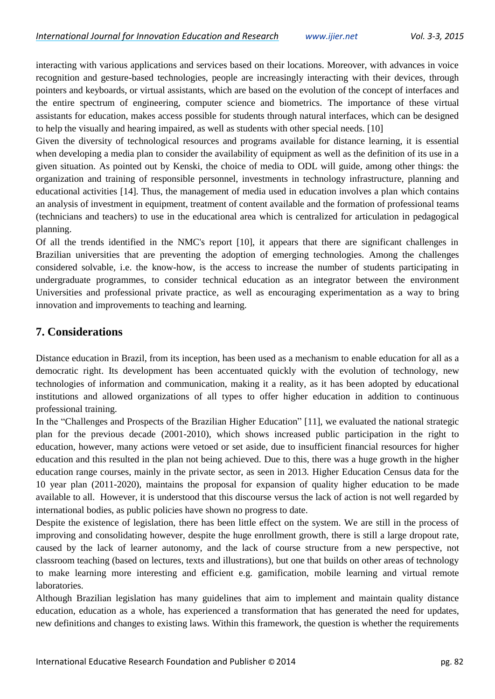interacting with various applications and services based on their locations. Moreover, with advances in voice recognition and gesture-based technologies, people are increasingly interacting with their devices, through pointers and keyboards, or virtual assistants, which are based on the evolution of the concept of interfaces and the entire spectrum of engineering, computer science and biometrics. The importance of these virtual assistants for education, makes access possible for students through natural interfaces, which can be designed to help the visually and hearing impaired, as well as students with other special needs. [10]

Given the diversity of technological resources and programs available for distance learning, it is essential when developing a media plan to consider the availability of equipment as well as the definition of its use in a given situation. As pointed out by Kenski, the choice of media to ODL will guide, among other things: the organization and training of responsible personnel, investments in technology infrastructure, planning and educational activities [14]. Thus, the management of media used in education involves a plan which contains an analysis of investment in equipment, treatment of content available and the formation of professional teams (technicians and teachers) to use in the educational area which is centralized for articulation in pedagogical planning.

Of all the trends identified in the NMC's report [10], it appears that there are significant challenges in Brazilian universities that are preventing the adoption of emerging technologies. Among the challenges considered solvable, i.e. the know-how, is the access to increase the number of students participating in undergraduate programmes, to consider technical education as an integrator between the environment Universities and professional private practice, as well as encouraging experimentation as a way to bring innovation and improvements to teaching and learning.

# **7. Considerations**

Distance education in Brazil, from its inception, has been used as a mechanism to enable education for all as a democratic right. Its development has been accentuated quickly with the evolution of technology, new technologies of information and communication, making it a reality, as it has been adopted by educational institutions and allowed organizations of all types to offer higher education in addition to continuous professional training.

In the "Challenges and Prospects of the Brazilian Higher Education" [11], we evaluated the national strategic plan for the previous decade (2001-2010), which shows increased public participation in the right to education, however, many actions were vetoed or set aside, due to insufficient financial resources for higher education and this resulted in the plan not being achieved. Due to this, there was a huge growth in the higher education range courses, mainly in the private sector, as seen in 2013. Higher Education Census data for the 10 year plan (2011-2020), maintains the proposal for expansion of quality higher education to be made available to all. However, it is understood that this discourse versus the lack of action is not well regarded by international bodies, as public policies have shown no progress to date.

Despite the existence of legislation, there has been little effect on the system. We are still in the process of improving and consolidating however, despite the huge enrollment growth, there is still a large dropout rate, caused by the lack of learner autonomy, and the lack of course structure from a new perspective, not classroom teaching (based on lectures, texts and illustrations), but one that builds on other areas of technology to make learning more interesting and efficient e.g. gamification, mobile learning and virtual remote laboratories.

Although Brazilian legislation has many guidelines that aim to implement and maintain quality distance education, education as a whole, has experienced a transformation that has generated the need for updates, new definitions and changes to existing laws. Within this framework, the question is whether the requirements